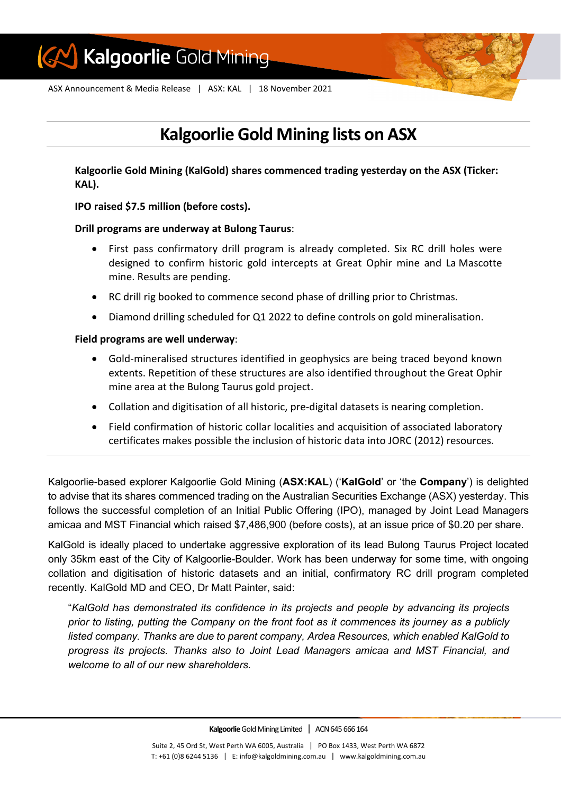

ASX Announcement & Media Release | ASX: KAL | 18 November 2021

# **Kalgoorlie Gold Mining lists on ASX**

**Kalgoorlie Gold Mining (KalGold) shares commenced trading yesterday on the ASX (Ticker: KAL).**

**IPO raised \$7.5 million (before costs).**

# **Drill programs are underway at Bulong Taurus**:

- First pass confirmatory drill program is already completed. Six RC drill holes were designed to confirm historic gold intercepts at Great Ophir mine and La Mascotte mine. Results are pending.
- RC drill rig booked to commence second phase of drilling prior to Christmas.
- Diamond drilling scheduled for Q1 2022 to define controls on gold mineralisation.

# **Field programs are well underway**:

- Gold-mineralised structures identified in geophysics are being traced beyond known extents. Repetition of these structures are also identified throughout the Great Ophir mine area at the Bulong Taurus gold project.
- Collation and digitisation of all historic, pre-digital datasets is nearing completion.
- Field confirmation of historic collar localities and acquisition of associated laboratory certificates makes possible the inclusion of historic data into JORC (2012) resources.

Kalgoorlie-based explorer Kalgoorlie Gold Mining (**ASX:KAL**) ('**KalGold**' or 'the **Company**') is delighted to advise that its shares commenced trading on the Australian Securities Exchange (ASX) yesterday. This follows the successful completion of an Initial Public Offering (IPO), managed by Joint Lead Managers amicaa and MST Financial which raised \$7,486,900 (before costs), at an issue price of \$0.20 per share.

KalGold is ideally placed to undertake aggressive exploration of its lead Bulong Taurus Project located only 35km east of the City of Kalgoorlie-Boulder. Work has been underway for some time, with ongoing collation and digitisation of historic datasets and an initial, confirmatory RC drill program completed recently. KalGold MD and CEO, Dr Matt Painter, said:

"*KalGold has demonstrated its confidence in its projects and people by advancing its projects prior to listing, putting the Company on the front foot as it commences its journey as a publicly listed company. Thanks are due to parent company, Ardea Resources, which enabled KalGold to progress its projects. Thanks also to Joint Lead Managers amicaa and MST Financial, and welcome to all of our new shareholders.*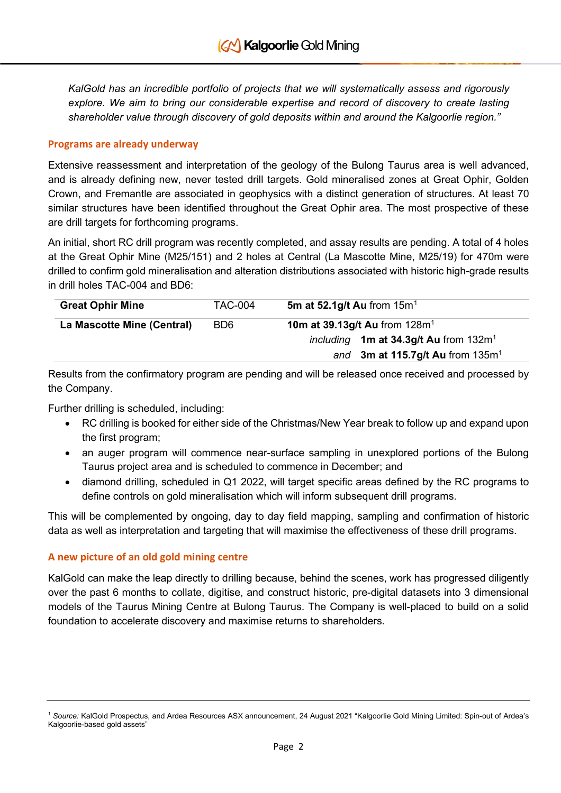*KalGold has an incredible portfolio of projects that we will systematically assess and rigorously explore. We aim to bring our considerable expertise and record of discovery to create lasting shareholder value through discovery of gold deposits within and around the Kalgoorlie region."*

### **Programs are already underway**

Extensive reassessment and interpretation of the geology of the Bulong Taurus area is well advanced, and is already defining new, never tested drill targets. Gold mineralised zones at Great Ophir, Golden Crown, and Fremantle are associated in geophysics with a distinct generation of structures. At least 70 similar structures have been identified throughout the Great Ophir area. The most prospective of these are drill targets for forthcoming programs.

An initial, short RC drill program was recently completed, and assay results are pending. A total of 4 holes at the Great Ophir Mine (M25/151) and 2 holes at Central (La Mascotte Mine, M25/19) for 470m were drilled to confirm gold mineralisation and alteration distributions associated with historic high-grade results in drill holes TAC-004 and BD6:

| <b>Great Ophir Mine</b>    | TAC-004                     | 5m at 52.1g/t Au from $15m1$            |
|----------------------------|-----------------------------|-----------------------------------------|
| La Mascotte Mine (Central) | B <sub>D</sub> <sub>6</sub> | 10m at 39.13g/t Au from $128m1$         |
|                            |                             | including 1m at 34.3g/t Au from $132m1$ |
|                            |                             | and 3m at 115.7g/t Au from $135m1$      |

Results from the confirmatory program are pending and will be released once received and processed by the Company.

Further drilling is scheduled, including:

- RC drilling is booked for either side of the Christmas/New Year break to follow up and expand upon the first program;
- an auger program will commence near-surface sampling in unexplored portions of the Bulong Taurus project area and is scheduled to commence in December; and
- diamond drilling, scheduled in Q1 2022, will target specific areas defined by the RC programs to define controls on gold mineralisation which will inform subsequent drill programs.

This will be complemented by ongoing, day to day field mapping, sampling and confirmation of historic data as well as interpretation and targeting that will maximise the effectiveness of these drill programs.

# **A new picture of an old gold mining centre**

KalGold can make the leap directly to drilling because, behind the scenes, work has progressed diligently over the past 6 months to collate, digitise, and construct historic, pre-digital datasets into 3 dimensional models of the Taurus Mining Centre at Bulong Taurus. The Company is well-placed to build on a solid foundation to accelerate discovery and maximise returns to shareholders.

<span id="page-1-0"></span><sup>1</sup> *Source:* KalGold Prospectus, and Ardea Resources ASX announcement, 24 August 2021 "Kalgoorlie Gold Mining Limited: Spin-out of Ardea's Kalgoorlie-based gold assets"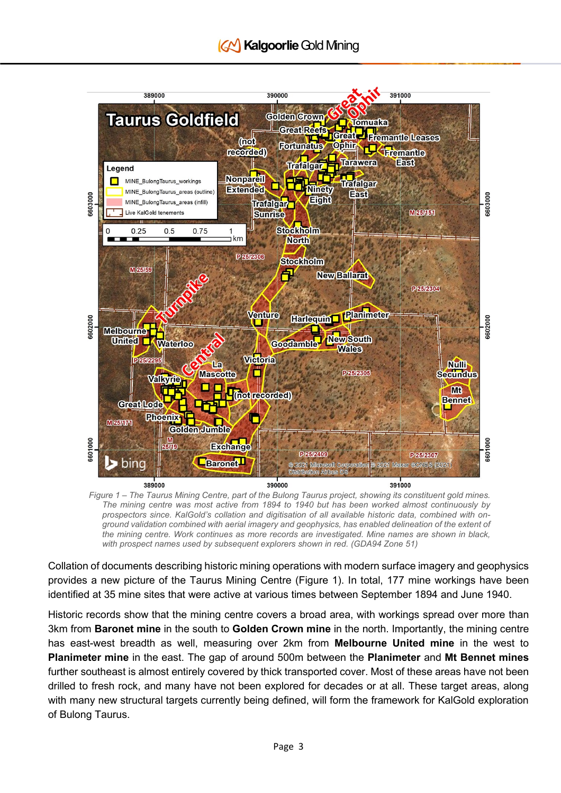

*Figure 1 – The Taurus Mining Centre, part of the Bulong Taurus project, showing its constituent gold mines. The mining centre was most active from 1894 to 1940 but has been worked almost continuously by prospectors since. KalGold's collation and digitisation of all available historic data, combined with onground validation combined with aerial imagery and geophysics, has enabled delineation of the extent of the mining centre. Work continues as more records are investigated. Mine names are shown in black, with prospect names used by subsequent explorers shown in red. (GDA94 Zone 51)*

Collation of documents describing historic mining operations with modern surface imagery and geophysics provides a new picture of the Taurus Mining Centre (Figure 1). In total, 177 mine workings have been identified at 35 mine sites that were active at various times between September 1894 and June 1940.

Historic records show that the mining centre covers a broad area, with workings spread over more than 3km from **Baronet mine** in the south to **Golden Crown mine** in the north. Importantly, the mining centre has east-west breadth as well, measuring over 2km from **Melbourne United mine** in the west to **Planimeter mine** in the east. The gap of around 500m between the **Planimeter** and **Mt Bennet mines** further southeast is almost entirely covered by thick transported cover. Most of these areas have not been drilled to fresh rock, and many have not been explored for decades or at all. These target areas, along with many new structural targets currently being defined, will form the framework for KalGold exploration of Bulong Taurus.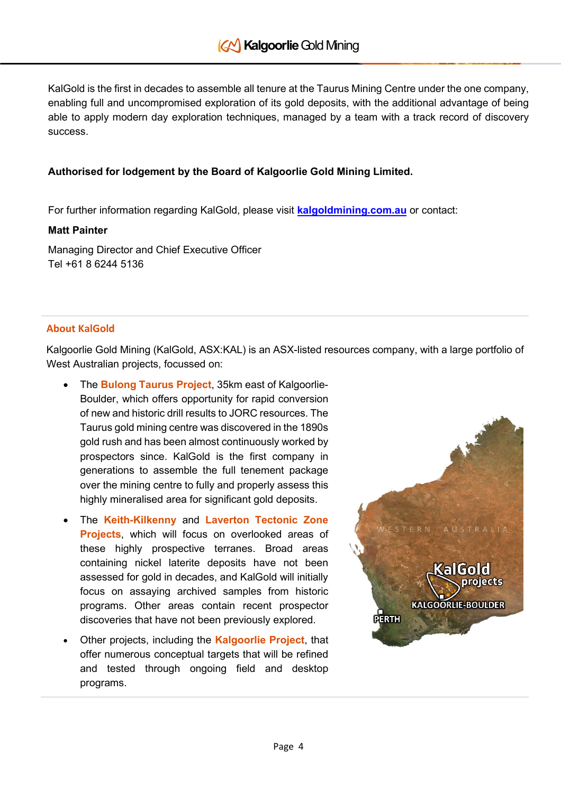KalGold is the first in decades to assemble all tenure at the Taurus Mining Centre under the one company, enabling full and uncompromised exploration of its gold deposits, with the additional advantage of being able to apply modern day exploration techniques, managed by a team with a track record of discovery success.

# **Authorised for lodgement by the Board of Kalgoorlie Gold Mining Limited.**

For further information regarding KalGold, please visit **[kalgoldmining.com.au](http://www.kalgoldmining.com.au/)** or contact:

# **Matt Painter**

Managing Director and Chief Executive Officer Tel +61 8 6244 5136

# **About KalGold**

Kalgoorlie Gold Mining (KalGold, ASX:KAL) is an ASX-listed resources company, with a large portfolio of West Australian projects, focussed on:

- The **Bulong Taurus Project**, 35km east of Kalgoorlie-Boulder, which offers opportunity for rapid conversion of new and historic drill results to JORC resources. The Taurus gold mining centre was discovered in the 1890s gold rush and has been almost continuously worked by prospectors since. KalGold is the first company in generations to assemble the full tenement package over the mining centre to fully and properly assess this highly mineralised area for significant gold deposits.
- The **Keith-Kilkenny** and **Laverton Tectonic Zone Projects**, which will focus on overlooked areas of these highly prospective terranes. Broad areas containing nickel laterite deposits have not been assessed for gold in decades, and KalGold will initially focus on assaying archived samples from historic programs. Other areas contain recent prospector discoveries that have not been previously explored.
- Other projects, including the **Kalgoorlie Project**, that offer numerous conceptual targets that will be refined and tested through ongoing field and desktop programs.